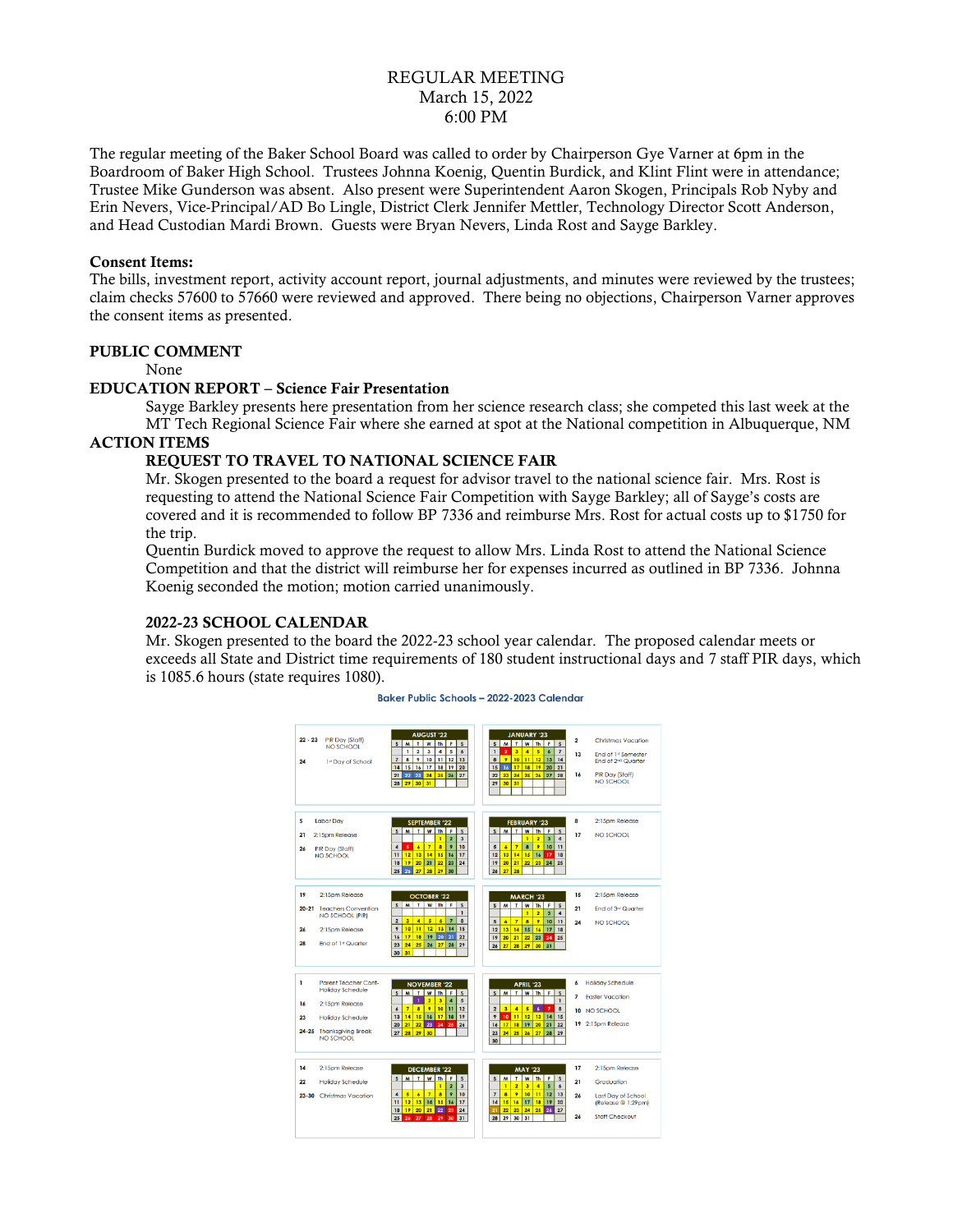# REGULAR MEETING March 15, 2022 6:00 PM

The regular meeting of the Baker School Board was called to order by Chairperson Gye Varner at 6pm in the Boardroom of Baker High School. Trustees Johnna Koenig, Quentin Burdick, and Klint Flint were in attendance; Trustee Mike Gunderson was absent. Also present were Superintendent Aaron Skogen, Principals Rob Nyby and Erin Nevers, Vice-Principal/AD Bo Lingle, District Clerk Jennifer Mettler, Technology Director Scott Anderson, and Head Custodian Mardi Brown. Guests were Bryan Nevers, Linda Rost and Sayge Barkley.

### Consent Items:

The bills, investment report, activity account report, journal adjustments, and minutes were reviewed by the trustees; claim checks 57600 to 57660 were reviewed and approved. There being no objections, Chairperson Varner approves the consent items as presented.

## PUBLIC COMMENT

None

### EDUCATION REPORT – Science Fair Presentation

Sayge Barkley presents here presentation from her science research class; she competed this last week at the MT Tech Regional Science Fair where she earned at spot at the National competition in Albuquerque, NM

## ACTION ITEMS

## REQUEST TO TRAVEL TO NATIONAL SCIENCE FAIR

Mr. Skogen presented to the board a request for advisor travel to the national science fair. Mrs. Rost is requesting to attend the National Science Fair Competition with Sayge Barkley; all of Sayge's costs are covered and it is recommended to follow BP 7336 and reimburse Mrs. Rost for actual costs up to \$1750 for the trip.

Quentin Burdick moved to approve the request to allow Mrs. Linda Rost to attend the National Science Competition and that the district will reimburse her for expenses incurred as outlined in BP 7336. Johnna Koenig seconded the motion; motion carried unanimously.

### 2022-23 SCHOOL CALENDAR

Mr. Skogen presented to the board the 2022-23 school year calendar. The proposed calendar meets or exceeds all State and District time requirements of 180 student instructional days and 7 staff PIR days, which is 1085.6 hours (state requires 1080).

#### Baker Public Schools - 2022-2023 Calendar

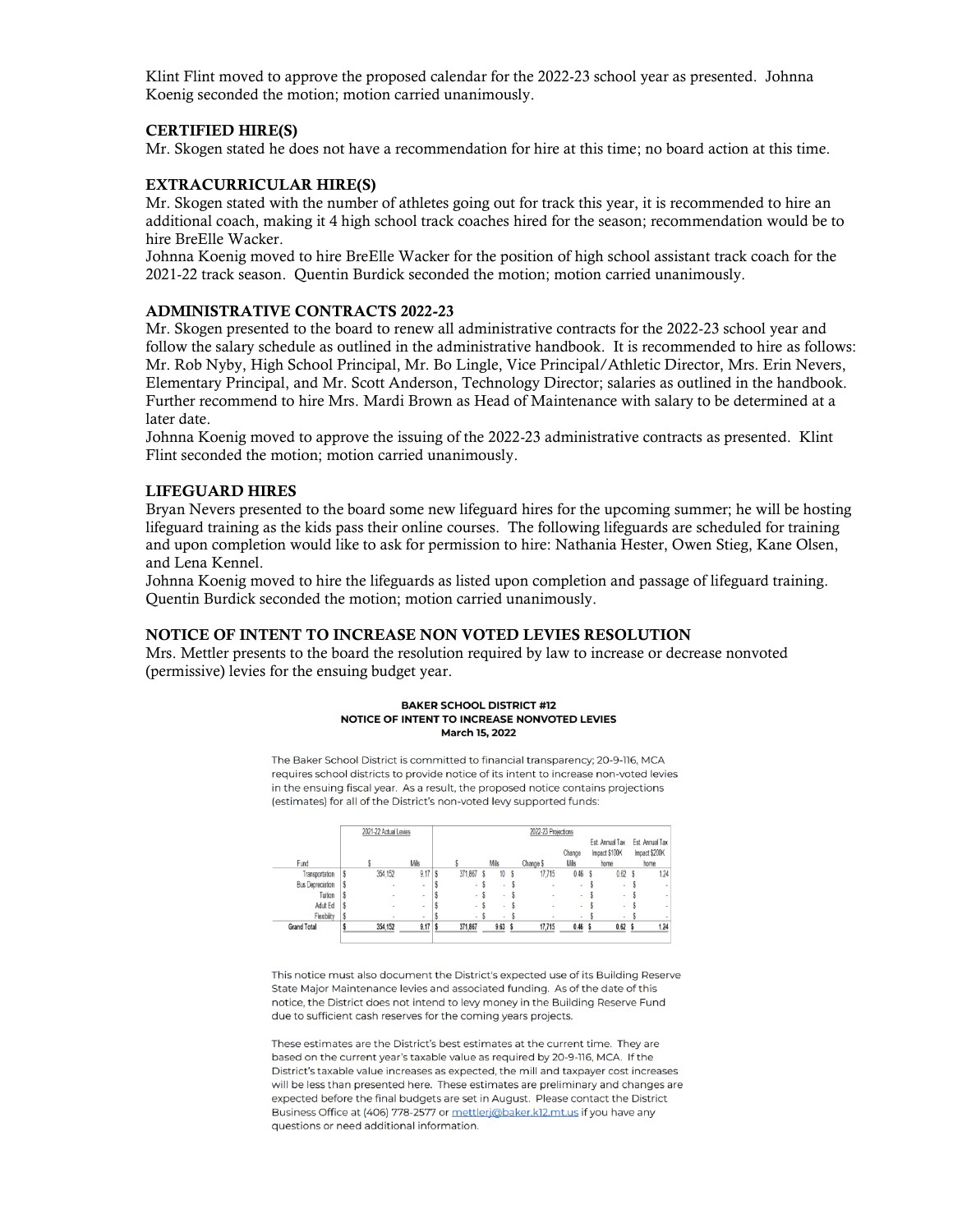Klint Flint moved to approve the proposed calendar for the 2022-23 school year as presented. Johnna Koenig seconded the motion; motion carried unanimously.

### CERTIFIED HIRE(S)

Mr. Skogen stated he does not have a recommendation for hire at this time; no board action at this time.

### EXTRACURRICULAR HIRE(S)

Mr. Skogen stated with the number of athletes going out for track this year, it is recommended to hire an additional coach, making it 4 high school track coaches hired for the season; recommendation would be to hire BreElle Wacker.

Johnna Koenig moved to hire BreElle Wacker for the position of high school assistant track coach for the 2021-22 track season. Quentin Burdick seconded the motion; motion carried unanimously.

### ADMINISTRATIVE CONTRACTS 2022-23

Mr. Skogen presented to the board to renew all administrative contracts for the 2022-23 school year and follow the salary schedule as outlined in the administrative handbook. It is recommended to hire as follows: Mr. Rob Nyby, High School Principal, Mr. Bo Lingle, Vice Principal/Athletic Director, Mrs. Erin Nevers, Elementary Principal, and Mr. Scott Anderson, Technology Director; salaries as outlined in the handbook. Further recommend to hire Mrs. Mardi Brown as Head of Maintenance with salary to be determined at a later date.

Johnna Koenig moved to approve the issuing of the 2022-23 administrative contracts as presented. Klint Flint seconded the motion; motion carried unanimously.

### LIFEGUARD HIRES

Bryan Nevers presented to the board some new lifeguard hires for the upcoming summer; he will be hosting lifeguard training as the kids pass their online courses. The following lifeguards are scheduled for training and upon completion would like to ask for permission to hire: Nathania Hester, Owen Stieg, Kane Olsen, and Lena Kennel.

Johnna Koenig moved to hire the lifeguards as listed upon completion and passage of lifeguard training. Quentin Burdick seconded the motion; motion carried unanimously.

# NOTICE OF INTENT TO INCREASE NON VOTED LEVIES RESOLUTION

Mrs. Mettler presents to the board the resolution required by law to increase or decrease nonvoted (permissive) levies for the ensuing budget year.

#### **BAKER SCHOOL DISTRICT #12** NOTICE OF INTENT TO INCREASE NONVOTED LEVIES **March 15, 2022**

The Baker School District is committed to financial transparency; 20-9-116, MCA requires school districts to provide notice of its intent to increase non-voted levies in the ensuing fiscal year. As a result, the proposed notice contains projections (estimates) for all of the District's non-voted levy supported funds:

|                         | 2021-22 Actual Levies |                |                |   | 2022-23 Projections |   |             |   |                          |                          |   |                   |  |                 |  |
|-------------------------|-----------------------|----------------|----------------|---|---------------------|---|-------------|---|--------------------------|--------------------------|---|-------------------|--|-----------------|--|
|                         |                       |                |                |   |                     |   |             |   |                          |                          |   | Est. Annual Tax   |  | Est. Annual Tax |  |
|                         |                       |                |                |   |                     |   |             |   |                          | Change                   |   | Impact \$100K     |  | Impact \$200K   |  |
| Fund                    |                       |                | Mils           |   |                     |   | <b>Mils</b> |   | Change \$                | <b>Mils</b>              |   | home              |  | home            |  |
| Transportation          |                       | 354,152        | 9.17           | S | 371,867             | s | 10          | S | 17,715                   | 0.46                     | S | 0.62              |  | 1.24            |  |
| <b>Bus Depreciation</b> |                       | ٠              | ٠              |   | ۰                   |   | ۰           |   | $\overline{\phantom{a}}$ | $\overline{\phantom{a}}$ |   | $\blacksquare$    |  |                 |  |
| Tuition                 |                       | ٠              | $\blacksquare$ |   | ٠                   |   | ٠           |   |                          | $\blacksquare$           |   | $\,$              |  | $\sim$          |  |
| Adult Ed                |                       | $\overline{a}$ | $\sim$         |   | $\sim$              |   | ٠           |   | $\sim$                   | $\alpha$                 |   | $\sim$            |  | $\sim$          |  |
| Flexibility             |                       | ٠              | ٠              |   |                     |   | ٠           |   | ٠                        | $\sim$                   |   | ٠                 |  |                 |  |
| <b>Grand Total</b>      |                       | 354,152        | 9.17           |   | 371,867             |   | 9.63        |   | 17,715                   | 0.46 <sup>5</sup>        |   | 0.62 <sub>5</sub> |  | 1.24            |  |
|                         |                       |                |                |   |                     |   |             |   |                          |                          |   |                   |  |                 |  |

This notice must also document the District's expected use of its Building Reserve State Major Maintenance levies and associated funding. As of the date of this notice, the District does not intend to levy money in the Building Reserve Fund due to sufficient cash reserves for the coming years projects.

These estimates are the District's best estimates at the current time. They are based on the current year's taxable value as required by 20-9-116. MCA. If the District's taxable value increases as expected, the mill and taxpayer cost increases will be less than presented here. These estimates are preliminary and changes are expected before the final budgets are set in August. Please contact the District Business Office at (406) 778-2577 or mettlerj@baker.k12.mt.us if you have any questions or need additional information.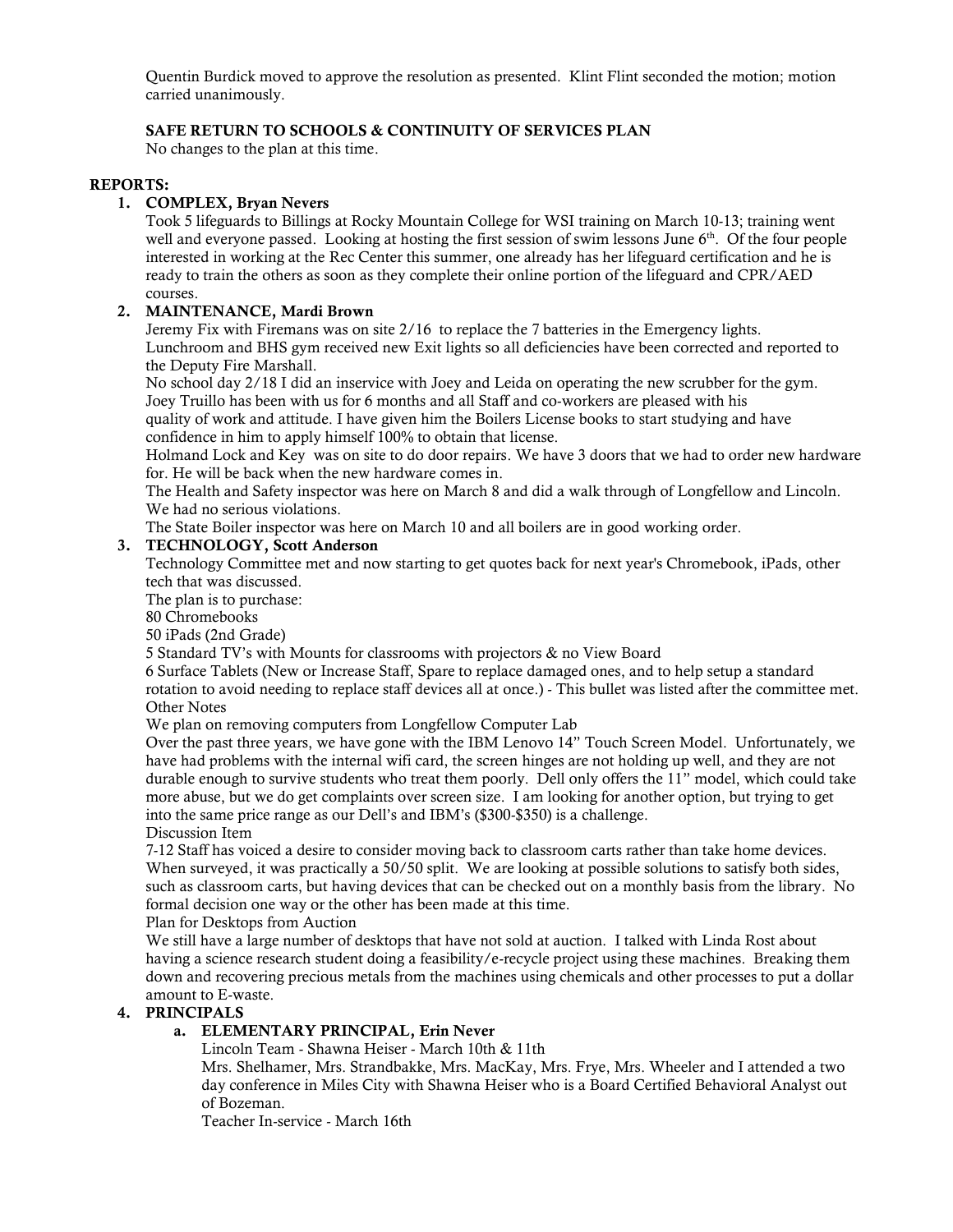Quentin Burdick moved to approve the resolution as presented. Klint Flint seconded the motion; motion carried unanimously.

# SAFE RETURN TO SCHOOLS & CONTINUITY OF SERVICES PLAN

No changes to the plan at this time.

## REPORTS:

## 1. COMPLEX, Bryan Nevers

Took 5 lifeguards to Billings at Rocky Mountain College for WSI training on March 10-13; training went well and everyone passed. Looking at hosting the first session of swim lessons June 6<sup>th</sup>. Of the four people interested in working at the Rec Center this summer, one already has her lifeguard certification and he is ready to train the others as soon as they complete their online portion of the lifeguard and CPR/AED courses.

# 2. MAINTENANCE, Mardi Brown

Jeremy Fix with Firemans was on site 2/16 to replace the 7 batteries in the Emergency lights. Lunchroom and BHS gym received new Exit lights so all deficiencies have been corrected and reported to the Deputy Fire Marshall.

No school day 2/18 I did an inservice with Joey and Leida on operating the new scrubber for the gym. Joey Truillo has been with us for 6 months and all Staff and co-workers are pleased with his

quality of work and attitude. I have given him the Boilers License books to start studying and have confidence in him to apply himself 100% to obtain that license.

Holmand Lock and Key was on site to do door repairs. We have 3 doors that we had to order new hardware for. He will be back when the new hardware comes in.

The Health and Safety inspector was here on March 8 and did a walk through of Longfellow and Lincoln. We had no serious violations.

The State Boiler inspector was here on March 10 and all boilers are in good working order.

## 3. TECHNOLOGY, Scott Anderson

Technology Committee met and now starting to get quotes back for next year's Chromebook, iPads, other tech that was discussed.

The plan is to purchase:

80 Chromebooks

50 iPads (2nd Grade)

5 Standard TV's with Mounts for classrooms with projectors & no View Board

6 Surface Tablets (New or Increase Staff, Spare to replace damaged ones, and to help setup a standard rotation to avoid needing to replace staff devices all at once.) - This bullet was listed after the committee met. Other Notes

We plan on removing computers from Longfellow Computer Lab

Over the past three years, we have gone with the IBM Lenovo 14" Touch Screen Model. Unfortunately, we have had problems with the internal wifi card, the screen hinges are not holding up well, and they are not durable enough to survive students who treat them poorly. Dell only offers the 11" model, which could take more abuse, but we do get complaints over screen size. I am looking for another option, but trying to get into the same price range as our Dell's and IBM's (\$300-\$350) is a challenge.

Discussion Item

7-12 Staff has voiced a desire to consider moving back to classroom carts rather than take home devices. When surveyed, it was practically a 50/50 split. We are looking at possible solutions to satisfy both sides, such as classroom carts, but having devices that can be checked out on a monthly basis from the library. No formal decision one way or the other has been made at this time.

## Plan for Desktops from Auction

We still have a large number of desktops that have not sold at auction. I talked with Linda Rost about having a science research student doing a feasibility/e-recycle project using these machines. Breaking them down and recovering precious metals from the machines using chemicals and other processes to put a dollar amount to E-waste.

## 4. PRINCIPALS

# a. ELEMENTARY PRINCIPAL, Erin Never

Lincoln Team - Shawna Heiser - March 10th & 11th

Mrs. Shelhamer, Mrs. Strandbakke, Mrs. MacKay, Mrs. Frye, Mrs. Wheeler and I attended a two day conference in Miles City with Shawna Heiser who is a Board Certified Behavioral Analyst out of Bozeman.

Teacher In-service - March 16th